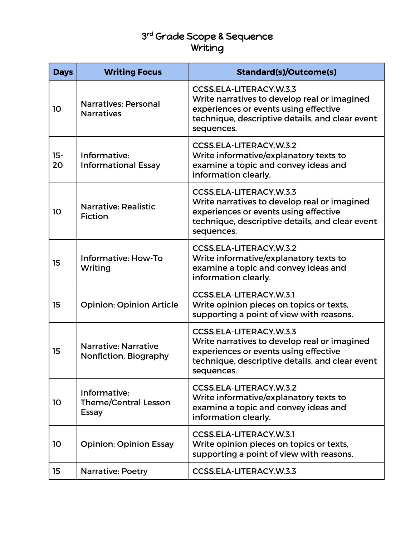## 3 rd Grade Scope & Sequence Writing

| <b>Days</b>  | <b>Writing Focus</b>                                        | <b>Standard(s)/Outcome(s)</b>                                                                                                                                                     |
|--------------|-------------------------------------------------------------|-----------------------------------------------------------------------------------------------------------------------------------------------------------------------------------|
| 10           | Narratives: Personal<br><b>Narratives</b>                   | CCSS.ELA-LITERACY.W.3.3<br>Write narratives to develop real or imagined<br>experiences or events using effective<br>technique, descriptive details, and clear event<br>sequences. |
| $15 -$<br>20 | Informative:<br><b>Informational Essay</b>                  | <b>CCSS.ELA-LITERACY.W.3.2</b><br>Write informative/explanatory texts to<br>examine a topic and convey ideas and<br>information clearly.                                          |
| 10           | <b>Narrative: Realistic</b><br><b>Fiction</b>               | CCSS.ELA-LITERACY.W.3.3<br>Write narratives to develop real or imagined<br>experiences or events using effective<br>technique, descriptive details, and clear event<br>sequences. |
| 15           | <b>Informative: How-To</b><br>Writing                       | CCSS.ELA-LITERACY.W.3.2<br>Write informative/explanatory texts to<br>examine a topic and convey ideas and<br>information clearly.                                                 |
| 15           | <b>Opinion: Opinion Article</b>                             | <b>CCSS.ELA-LITERACY.W.3.1</b><br>Write opinion pieces on topics or texts,<br>supporting a point of view with reasons.                                                            |
| 15           | <b>Narrative: Narrative</b><br>Nonfiction, Biography        | CCSS.ELA-LITERACY.W.3.3<br>Write narratives to develop real or imagined<br>experiences or events using effective<br>technique, descriptive details, and clear event<br>sequences. |
| 10           | Informative:<br><b>Theme/Central Lesson</b><br><b>Essay</b> | CCSS.ELA-LITERACY.W.3.2<br>Write informative/explanatory texts to<br>examine a topic and convey ideas and<br>information clearly.                                                 |
| 10           | <b>Opinion: Opinion Essay</b>                               | <b>CCSS.ELA-LITERACY.W.3.1</b><br>Write opinion pieces on topics or texts,<br>supporting a point of view with reasons.                                                            |
| 15           | <b>Narrative: Poetry</b>                                    | CCSS.ELA-LITERACY.W.3.3                                                                                                                                                           |